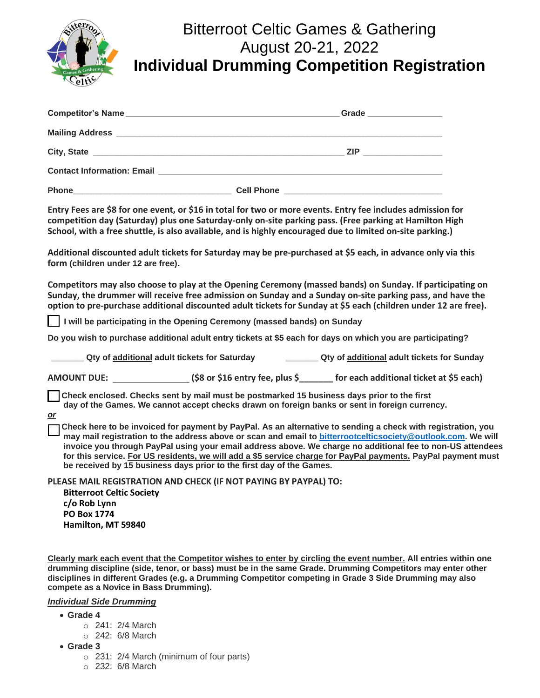

## Bitterroot Celtic Games & Gathering August 20-21, 2022 **Individual Drumming Competition Registration**

|              |                   | Grade _________________                                                                                               |  |
|--------------|-------------------|-----------------------------------------------------------------------------------------------------------------------|--|
|              |                   |                                                                                                                       |  |
|              |                   |                                                                                                                       |  |
|              |                   |                                                                                                                       |  |
| <b>Phone</b> | <b>Cell Phone</b> | <u> 1989 - Johann John Stein, markin am deutscher Stein und der Stein und der Stein und der Stein und der Stein u</u> |  |

**Entry Fees are \$8 for one event, or \$16 in total for two or more events. Entry fee includes admission for competition day (Saturday) plus one Saturday-only on-site parking pass. (Free parking at Hamilton High School, with a free shuttle, is also available, and is highly encouraged due to limited on-site parking.)**

**Additional discounted adult tickets for Saturday may be pre-purchased at \$5 each, in advance only via this form (children under 12 are free).**

**Competitors may also choose to play at the Opening Ceremony (massed bands) on Sunday. If participating on Sunday, the drummer will receive free admission on Sunday and a Sunday on-site parking pass, and have the option to pre-purchase additional discounted adult tickets for Sunday at \$5 each (children under 12 are free).**

 **I will be participating in the Opening Ceremony (massed bands) on Sunday**

**Do you wish to purchase additional adult entry tickets at \$5 each for days on which you are participating?**

**\_\_\_\_\_\_\_ Qty of additional adult tickets for Saturday \_\_\_\_\_\_\_ Qty of additional adult tickets for Sunday**

**AMOUNT DUE: (\$8 or \$16 entry fee, plus \$\_\_\_\_\_\_\_ for each additional ticket at \$5 each)**

 **Check enclosed. Checks sent by mail must be postmarked 15 business days prior to the first day of the Games. We cannot accept checks drawn on foreign banks or sent in foreign currency.**

*or*

 **Check here to be invoiced for payment by PayPal. As an alternative to sending a check with registration, you may mail registration to the address above or scan and email to [bitterrootcelticsociety@outlook.com.](mailto:bitterrootcelticsociety@outlook.com) We will invoice you through PayPal using your email address above. We charge no additional fee to non-US attendees for this service. For US residents, we will add a \$5 service charge for PayPal payments. PayPal payment must be received by 15 business days prior to the first day of the Games.**

**PLEASE MAIL REGISTRATION AND CHECK (IF NOT PAYING BY PAYPAL) TO:**

**Bitterroot Celtic Society c/o Rob Lynn PO Box 1774 Hamilton, MT 59840**

**Clearly mark each event that the Competitor wishes to enter by circling the event number. All entries within one drumming discipline (side, tenor, or bass) must be in the same Grade. Drumming Competitors may enter other disciplines in different Grades (e.g. a Drumming Competitor competing in Grade 3 Side Drumming may also compete as a Novice in Bass Drumming).**

*Individual Side Drumming*

- **Grade 4**
	- o 241: 2/4 March
	- o 242: 6/8 March
- **Grade 3**
	- o 231: 2/4 March (minimum of four parts)
	- o 232: 6/8 March